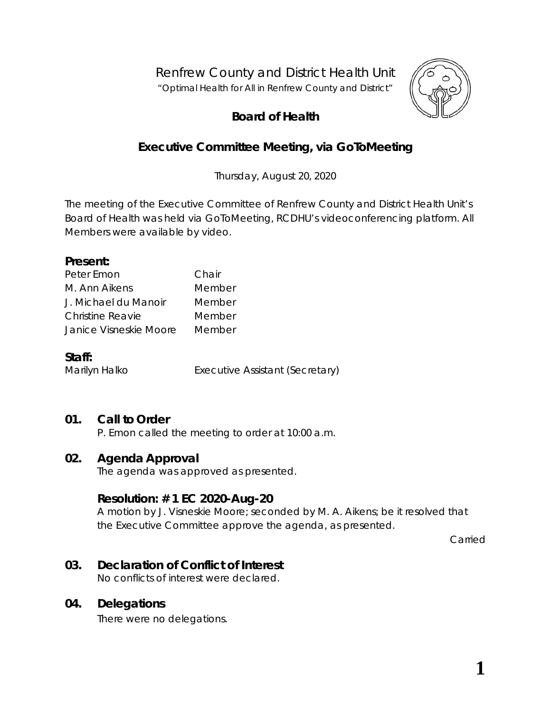Renfrew County and District Health Unit

*"Optimal Health for All in Renfrew County and District"*



# **Board of Health**

# **Executive Committee Meeting, via** *GoToMeeting*

Thursday, August 20, 2020

The meeting of the Executive Committee of Renfrew County and District Health Unit's Board of Health was held via *GoToMeeting*, RCDHU's videoconferencing platform. All Members were available by video.

#### **Present:**

| Peter Emon              | Chair  |
|-------------------------|--------|
| M. Ann Aikens           | Member |
| J. Michael du Manoir    | Member |
| <b>Christine Reavie</b> | Member |
| Janice Visneskie Moore  | Member |

#### **Staff:**

Marilyn Halko **Executive Assistant (Secretary)** 

## **01. Call to Order**

P. Emon called the meeting to order at 10:00 a.m.

#### **02. Agenda Approval**

The agenda was approved as presented.

#### **Resolution: # 1 EC 2020-Aug-20**

A motion by J. Visneskie Moore; seconded by M. A. Aikens; be it resolved that the Executive Committee approve the agenda, as presented.

Carried

## **03. Declaration of Conflict of Interest**

No conflicts of interest were declared.

#### **04. Delegations**

There were no delegations.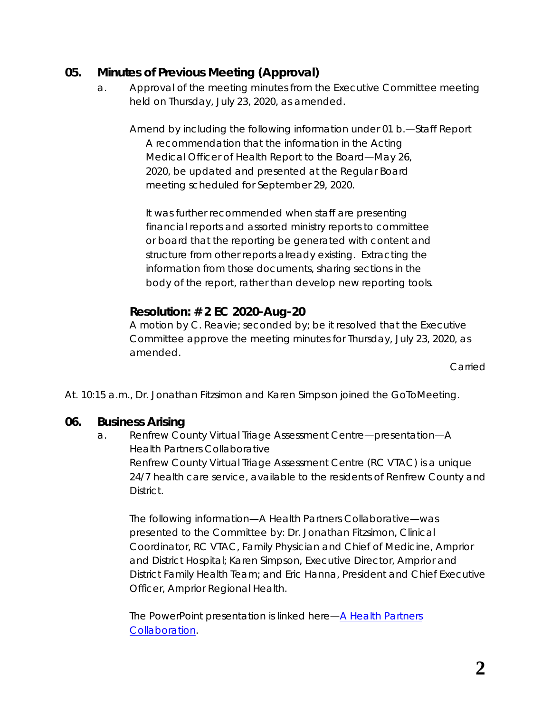## **05. Minutes of Previous Meeting (Approval)**

a. Approval of the meeting minutes from the Executive Committee meeting held on Thursday, July 23, 2020, as amended.

Amend by including the following information under 01 b.—Staff Report *A recommendation that the information in the Acting Medical Officer of Health Report to the Board—May 26, 2020, be updated and presented at the Regular Board meeting scheduled for September 29, 2020.*

*It was further recommended when staff are presenting financial reports and assorted ministry reports to committee or board that the reporting be generated with content and structure from other reports already existing. Extracting the information from those documents, sharing sections in the body of the report, rather than develop new reporting tools.*

## **Resolution: # 2 EC 2020-Aug-20**

A motion by C. Reavie; seconded by; be it resolved that the Executive Committee approve the meeting minutes for Thursday, July 23, 2020, as amended.

Carried

At. 10:15 a.m., Dr. Jonathan Fitzsimon and Karen Simpson joined the GoToMeeting.

#### **06. Business Arising**

a. Renfrew County Virtual Triage Assessment Centre—presentation—A Health Partners Collaborative Renfrew County Virtual Triage Assessment Centre (RC VTAC) is a unique 24/7 health care service, available to the residents of Renfrew County and District.

The following information—*A Health Partners Collaborative*—was presented to the Committee by: Dr. Jonathan Fitzsimon, Clinical Coordinator, RC VTAC, Family Physician and Chief of Medicine, Arnprior and District Hospital; Karen Simpson, Executive Director, Arnprior and District Family Health Team; and Eric Hanna, President and Chief Executive Officer, Arnprior Regional Health.

The PowerPoint presentation is linked here—*[A Health Partners](https://www.rcdhu.com/wp-content/uploads/2020/12/06.-RCVTAC-Public-Health-Presentation-2020-Aug-20.pdf)  [Collaboration.](https://www.rcdhu.com/wp-content/uploads/2020/12/06.-RCVTAC-Public-Health-Presentation-2020-Aug-20.pdf)*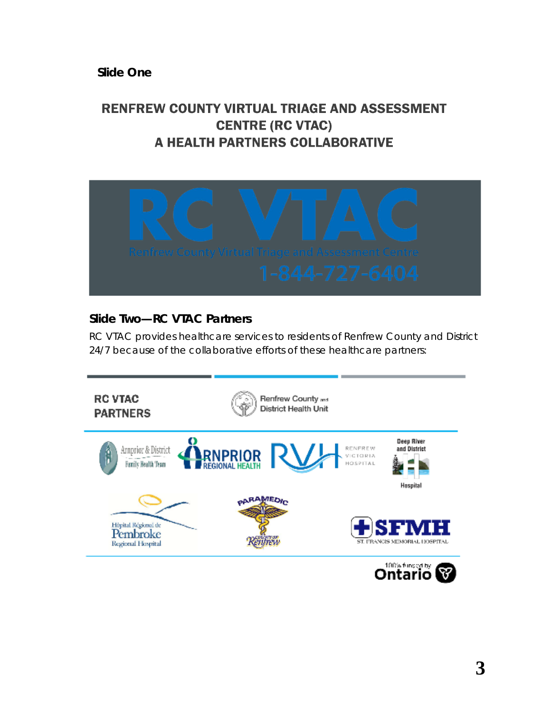**Slide One**

# **RENFREW COUNTY VIRTUAL TRIAGE AND ASSESSMENT CENTRE (RC VTAC)** A HEALTH PARTNERS COLLABORATIVE



# **Slide Two—RC VTAC Partners**

RC VTAC provides healthcare services to residents of Renfrew County and District 24/7 because of the collaborative efforts of these healthcare partners:

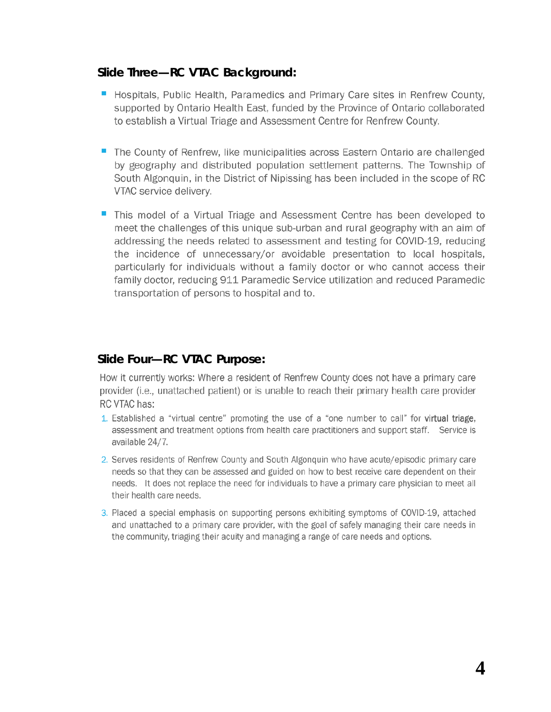#### **Slide Three—RC VTAC Background:**

- Hospitals, Public Health, Paramedics and Primary Care sites in Renfrew County. supported by Ontario Health East, funded by the Province of Ontario collaborated to establish a Virtual Triage and Assessment Centre for Renfrew County.
- The County of Renfrew, like municipalities across Eastern Ontario are challenged by geography and distributed population settlement patterns. The Township of South Algonquin, in the District of Nipissing has been included in the scope of RC VTAC service delivery.
- This model of a Virtual Triage and Assessment Centre has been developed to meet the challenges of this unique sub-urban and rural geography with an aim of addressing the needs related to assessment and testing for COVID-19, reducing the incidence of unnecessary/or avoidable presentation to local hospitals, particularly for individuals without a family doctor or who cannot access their family doctor, reducing 911 Paramedic Service utilization and reduced Paramedic transportation of persons to hospital and to.

#### **Slide Four—RC VTAC Purpose:**

How it currently works: Where a resident of Renfrew County does not have a primary care provider (i.e., unattached patient) or is unable to reach their primary health care provider RC VTAC has:

- 1. Established a "virtual centre" promoting the use of a "one number to call" for virtual triage, assessment and treatment options from health care practitioners and support staff. Service is available 24/7.
- 2. Serves residents of Renfrew County and South Algonquin who have acute/episodic primary care needs so that they can be assessed and guided on how to best receive care dependent on their needs. It does not replace the need for individuals to have a primary care physician to meet all their health care needs.
- 3. Placed a special emphasis on supporting persons exhibiting symptoms of COVID-19, attached and unattached to a primary care provider, with the goal of safely managing their care needs in the community, triaging their acuity and managing a range of care needs and options.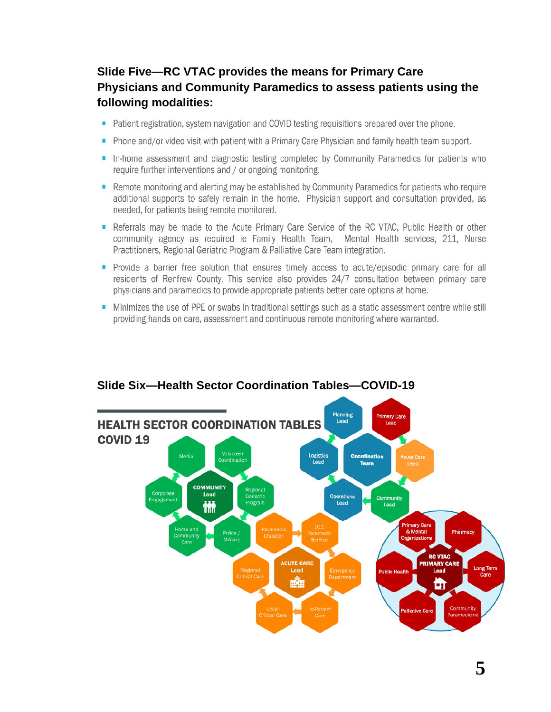# **Slide Five—RC VTAC provides the means for Primary Care Physicians and Community Paramedics to assess patients using the following modalities:**

- Patient registration, system navigation and COVID testing requisitions prepared over the phone.
- Phone and/or video visit with patient with a Primary Care Physician and family health team support.
- In-home assessment and diagnostic testing completed by Community Paramedics for patients who require further interventions and / or ongoing monitoring.
- Remote monitoring and alerting may be established by Community Paramedics for patients who require additional supports to safely remain in the home. Physician support and consultation provided, as needed, for patients being remote monitored.
- Referrals may be made to the Acute Primary Care Service of the RC VTAC, Public Health or other community agency as required ie Family Health Team, Mental Health services, 211, Nurse Practitioners, Regional Geriatric Program & Palliative Care Team integration.
- Provide a barrier free solution that ensures timely access to acute/episodic primary care for all residents of Renfrew County. This service also provides 24/7 consultation between primary care physicians and paramedics to provide appropriate patients better care options at home.
- Minimizes the use of PPE or swabs in traditional settings such as a static assessment centre while still providing hands on care, assessment and continuous remote monitoring where warranted.



#### **Slide Six—Health Sector Coordination Tables—COVID-19**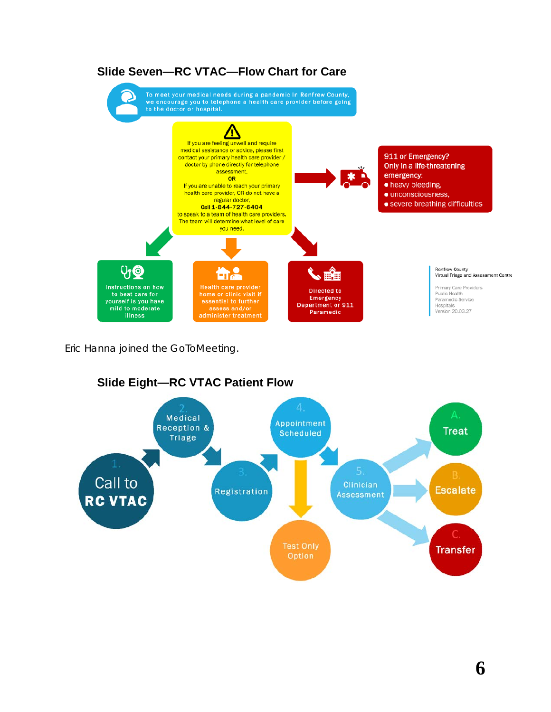

## **Slide Seven—RC VTAC—Flow Chart for Care**

Eric Hanna joined the GoToMeeting.



# **Slide Eight—RC VTAC Patient Flow**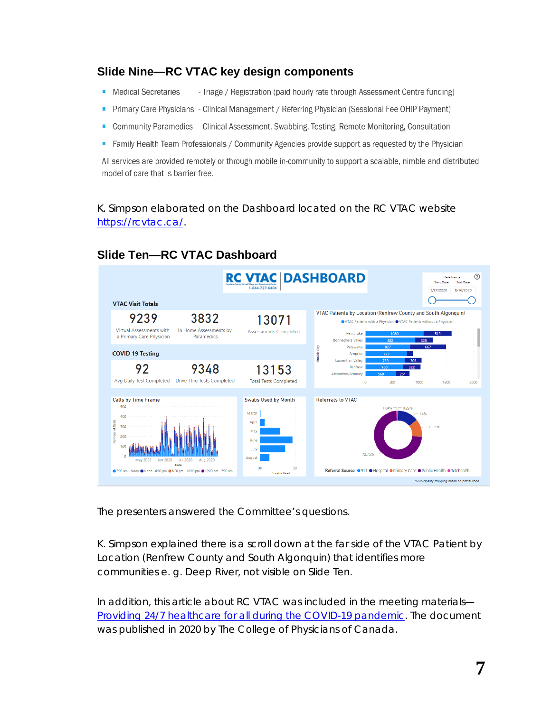### **Slide Nine—RC VTAC key design components**

- Medical Secretaries - Triage / Registration (paid hourly rate through Assessment Centre funding)
- Primary Care Physicians Clinical Management / Referring Physician (Sessional Fee OHIP Payment)
- Community Paramedics Clinical Assessment, Swabbing, Testing, Remote Monitoring, Consultation
- Family Health Team Professionals / Community Agencies provide support as requested by the Physician

All services are provided remotely or through mobile in-community to support a scalable, nimble and distributed model of care that is barrier free.

K. Simpson elaborated on the Dashboard located on the RC VTAC website [https://rcvtac.ca/.](https://rcvtac.ca/)



## **Slide Ten—RC VTAC Dashboard**

The presenters answered the Committee's questions.

K. Simpson explained there is a scroll down at the far side of the *VTAC Patient by Location (Renfrew County and South Algonquin)* that identifies more communities e. g. Deep River, not visible on Slide Ten.

In addition, this article about RC VTAC was included in the meeting materials— *[Providing 24/7 healthcare for all during the COVID-19 pandemic](http://portal.rcdhu.com/board/wp-content/uploads/2020/08/RC-VTAC-College-of-Physicians-of-Canada.pdf)*. The document was published in 2020 by The College of Physicians of Canada.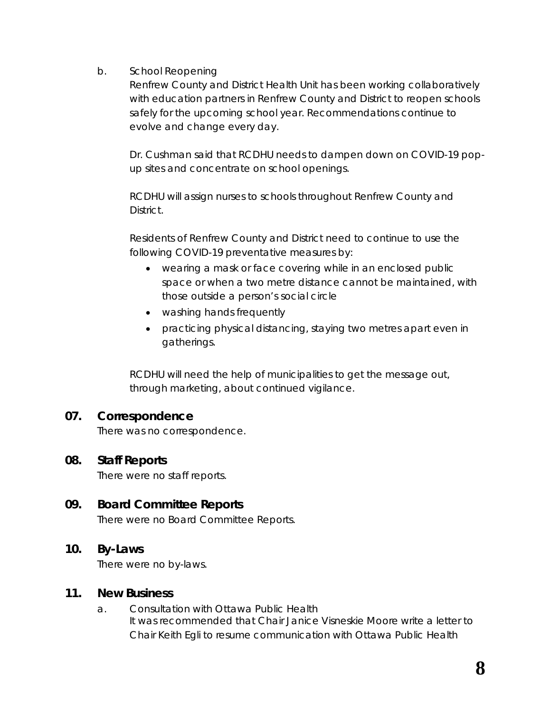b. School Reopening

Renfrew County and District Health Unit has been working collaboratively with education partners in Renfrew County and District to reopen schools safely for the upcoming school year. Recommendations continue to evolve and change every day.

Dr. Cushman said that RCDHU needs to dampen down on COVID-19 popup sites and concentrate on school openings.

RCDHU will assign nurses to schools throughout Renfrew County and **District.** 

Residents of Renfrew County and District need to continue to use the following COVID-19 preventative measures by:

- wearing a mask or face covering while in an enclosed public space or when a two metre distance cannot be maintained, with those outside a person's social circle
- washing hands frequently
- practicing physical distancing, staying two metres apart even in gatherings.

RCDHU will need the help of municipalities to get the message out, through marketing, about continued vigilance.

## **07. Correspondence**

There was no correspondence.

#### **08. Staff Reports**

There were no staff reports.

## **09. Board Committee Reports**

There were no Board Committee Reports.

#### **10. By-Laws**

There were no by-laws.

#### **11. New Business**

a. Consultation with Ottawa Public Health It was recommended that Chair Janice Visneskie Moore write a letter to Chair Keith Egli to resume communication with Ottawa Public Health